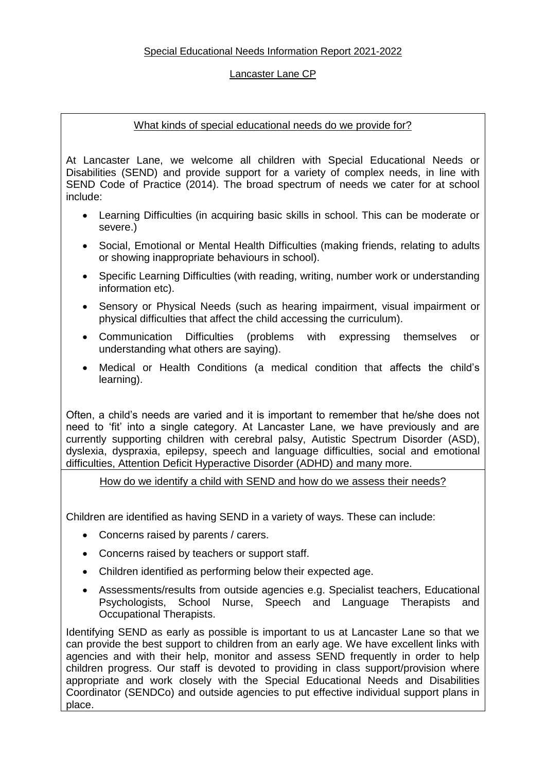## Special Educational Needs Information Report 2021-2022

#### Lancaster Lane CP

#### What kinds of special educational needs do we provide for?

At Lancaster Lane, we welcome all children with Special Educational Needs or Disabilities (SEND) and provide support for a variety of complex needs, in line with SEND Code of Practice (2014). The broad spectrum of needs we cater for at school include:

- Learning Difficulties (in acquiring basic skills in school. This can be moderate or severe.)
- Social, Emotional or Mental Health Difficulties (making friends, relating to adults or showing inappropriate behaviours in school).
- Specific Learning Difficulties (with reading, writing, number work or understanding information etc).
- Sensory or Physical Needs (such as hearing impairment, visual impairment or physical difficulties that affect the child accessing the curriculum).
- Communication Difficulties (problems with expressing themselves or understanding what others are saying).
- Medical or Health Conditions (a medical condition that affects the child's learning).

Often, a child's needs are varied and it is important to remember that he/she does not need to 'fit' into a single category. At Lancaster Lane, we have previously and are currently supporting children with cerebral palsy, Autistic Spectrum Disorder (ASD), dyslexia, dyspraxia, epilepsy, speech and language difficulties, social and emotional difficulties, Attention Deficit Hyperactive Disorder (ADHD) and many more.

How do we identify a child with SEND and how do we assess their needs?

Children are identified as having SEND in a variety of ways. These can include:

- Concerns raised by parents / carers.
- Concerns raised by teachers or support staff.
- Children identified as performing below their expected age.
- Assessments/results from outside agencies e.g. Specialist teachers, Educational Psychologists, School Nurse, Speech and Language Therapists and Occupational Therapists.

Identifying SEND as early as possible is important to us at Lancaster Lane so that we can provide the best support to children from an early age. We have excellent links with agencies and with their help, monitor and assess SEND frequently in order to help children progress. Our staff is devoted to providing in class support/provision where appropriate and work closely with the Special Educational Needs and Disabilities Coordinator (SENDCo) and outside agencies to put effective individual support plans in place.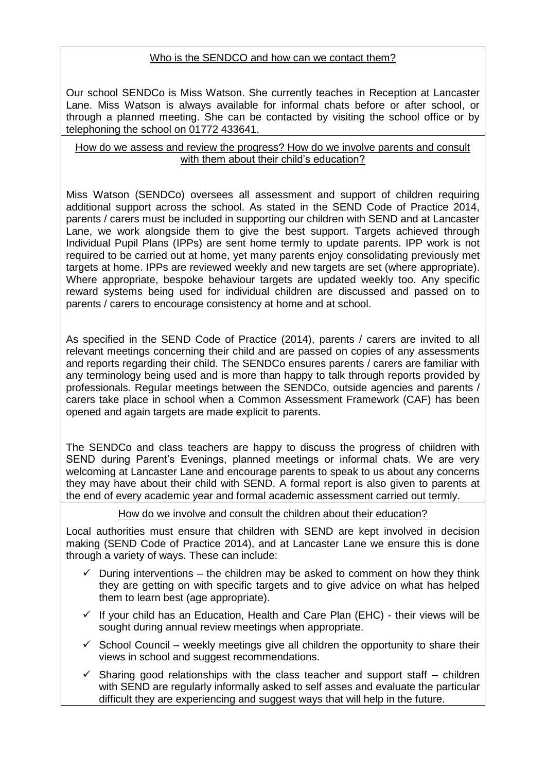# Who is the SENDCO and how can we contact them?

Our school SENDCo is Miss Watson. She currently teaches in Reception at Lancaster Lane. Miss Watson is always available for informal chats before or after school, or through a planned meeting. She can be contacted by visiting the school office or by telephoning the school on 01772 433641.

#### How do we assess and review the progress? How do we involve parents and consult with them about their child's education?

Miss Watson (SENDCo) oversees all assessment and support of children requiring additional support across the school. As stated in the SEND Code of Practice 2014, parents / carers must be included in supporting our children with SEND and at Lancaster Lane, we work alongside them to give the best support. Targets achieved through Individual Pupil Plans (IPPs) are sent home termly to update parents. IPP work is not required to be carried out at home, yet many parents enjoy consolidating previously met targets at home. IPPs are reviewed weekly and new targets are set (where appropriate). Where appropriate, bespoke behaviour targets are updated weekly too. Any specific reward systems being used for individual children are discussed and passed on to parents / carers to encourage consistency at home and at school.

As specified in the SEND Code of Practice (2014), parents / carers are invited to all relevant meetings concerning their child and are passed on copies of any assessments and reports regarding their child. The SENDCo ensures parents / carers are familiar with any terminology being used and is more than happy to talk through reports provided by professionals. Regular meetings between the SENDCo, outside agencies and parents / carers take place in school when a Common Assessment Framework (CAF) has been opened and again targets are made explicit to parents.

The SENDCo and class teachers are happy to discuss the progress of children with SEND during Parent's Evenings, planned meetings or informal chats. We are very welcoming at Lancaster Lane and encourage parents to speak to us about any concerns they may have about their child with SEND. A formal report is also given to parents at the end of every academic year and formal academic assessment carried out termly.

## How do we involve and consult the children about their education?

Local authorities must ensure that children with SEND are kept involved in decision making (SEND Code of Practice 2014), and at Lancaster Lane we ensure this is done through a variety of ways. These can include:

- During interventions the children may be asked to comment on how they think they are getting on with specific targets and to give advice on what has helped them to learn best (age appropriate).
- If your child has an Education, Health and Care Plan (EHC) their views will be sought during annual review meetings when appropriate.
- $\checkmark$  School Council weekly meetings give all children the opportunity to share their views in school and suggest recommendations.
- $\checkmark$  Sharing good relationships with the class teacher and support staff children with SEND are regularly informally asked to self asses and evaluate the particular difficult they are experiencing and suggest ways that will help in the future.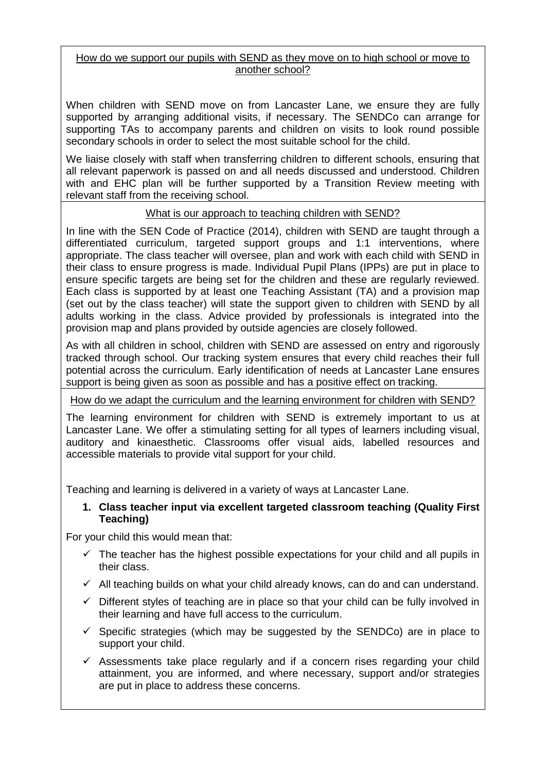## How do we support our pupils with SEND as they move on to high school or move to another school?

When children with SEND move on from Lancaster Lane, we ensure they are fully supported by arranging additional visits, if necessary. The SENDCo can arrange for supporting TAs to accompany parents and children on visits to look round possible secondary schools in order to select the most suitable school for the child.

We liaise closely with staff when transferring children to different schools, ensuring that all relevant paperwork is passed on and all needs discussed and understood. Children with and EHC plan will be further supported by a Transition Review meeting with relevant staff from the receiving school.

## What is our approach to teaching children with SEND?

In line with the SEN Code of Practice (2014), children with SEND are taught through a differentiated curriculum, targeted support groups and 1:1 interventions, where appropriate. The class teacher will oversee, plan and work with each child with SEND in their class to ensure progress is made. Individual Pupil Plans (IPPs) are put in place to ensure specific targets are being set for the children and these are regularly reviewed. Each class is supported by at least one Teaching Assistant (TA) and a provision map (set out by the class teacher) will state the support given to children with SEND by all adults working in the class. Advice provided by professionals is integrated into the provision map and plans provided by outside agencies are closely followed.

As with all children in school, children with SEND are assessed on entry and rigorously tracked through school. Our tracking system ensures that every child reaches their full potential across the curriculum. Early identification of needs at Lancaster Lane ensures support is being given as soon as possible and has a positive effect on tracking.

How do we adapt the curriculum and the learning environment for children with SEND?

The learning environment for children with SEND is extremely important to us at Lancaster Lane. We offer a stimulating setting for all types of learners including visual, auditory and kinaesthetic. Classrooms offer visual aids, labelled resources and accessible materials to provide vital support for your child.

Teaching and learning is delivered in a variety of ways at Lancaster Lane.

## **1. Class teacher input via excellent targeted classroom teaching (Quality First Teaching)**

For your child this would mean that:

- $\checkmark$  The teacher has the highest possible expectations for your child and all pupils in their class.
- $\checkmark$  All teaching builds on what your child already knows, can do and can understand.
- $\checkmark$  Different styles of teaching are in place so that your child can be fully involved in their learning and have full access to the curriculum.
- $\checkmark$  Specific strategies (which may be suggested by the SENDCo) are in place to support your child.
- $\checkmark$  Assessments take place regularly and if a concern rises regarding your child attainment, you are informed, and where necessary, support and/or strategies are put in place to address these concerns.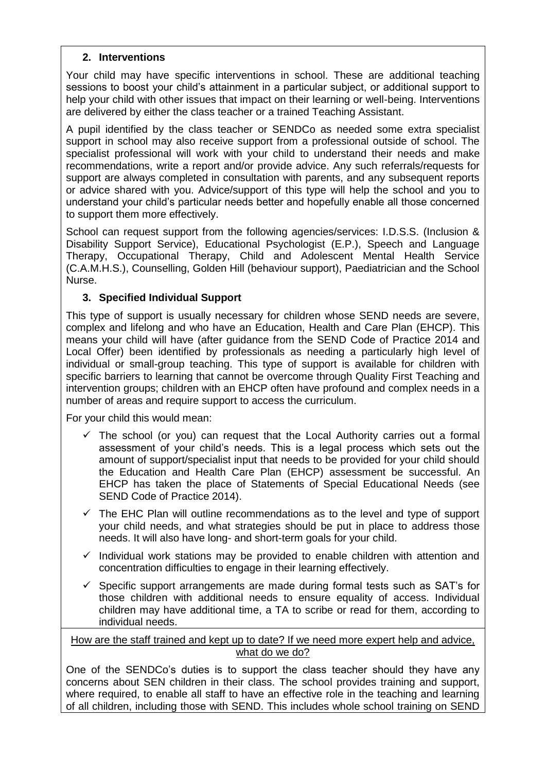### **2. Interventions**

Your child may have specific interventions in school. These are additional teaching sessions to boost your child's attainment in a particular subject, or additional support to help your child with other issues that impact on their learning or well-being. Interventions are delivered by either the class teacher or a trained Teaching Assistant.

A pupil identified by the class teacher or SENDCo as needed some extra specialist support in school may also receive support from a professional outside of school. The specialist professional will work with your child to understand their needs and make recommendations, write a report and/or provide advice. Any such referrals/requests for support are always completed in consultation with parents, and any subsequent reports or advice shared with you. Advice/support of this type will help the school and you to understand your child's particular needs better and hopefully enable all those concerned to support them more effectively.

School can request support from the following agencies/services: I.D.S.S. (Inclusion & Disability Support Service), Educational Psychologist (E.P.), Speech and Language Therapy, Occupational Therapy, Child and Adolescent Mental Health Service (C.A.M.H.S.), Counselling, Golden Hill (behaviour support), Paediatrician and the School Nurse.

## **3. Specified Individual Support**

This type of support is usually necessary for children whose SEND needs are severe, complex and lifelong and who have an Education, Health and Care Plan (EHCP). This means your child will have (after guidance from the SEND Code of Practice 2014 and Local Offer) been identified by professionals as needing a particularly high level of individual or small-group teaching. This type of support is available for children with specific barriers to learning that cannot be overcome through Quality First Teaching and intervention groups; children with an EHCP often have profound and complex needs in a number of areas and require support to access the curriculum.

For your child this would mean:

- $\checkmark$  The school (or you) can request that the Local Authority carries out a formal assessment of your child's needs. This is a legal process which sets out the amount of support/specialist input that needs to be provided for your child should the Education and Health Care Plan (EHCP) assessment be successful. An EHCP has taken the place of Statements of Special Educational Needs (see SEND Code of Practice 2014).
- $\checkmark$  The EHC Plan will outline recommendations as to the level and type of support your child needs, and what strategies should be put in place to address those needs. It will also have long- and short-term goals for your child.
- $\checkmark$  Individual work stations may be provided to enable children with attention and concentration difficulties to engage in their learning effectively.
- $\checkmark$  Specific support arrangements are made during formal tests such as SAT's for those children with additional needs to ensure equality of access. Individual children may have additional time, a TA to scribe or read for them, according to individual needs.

#### How are the staff trained and kept up to date? If we need more expert help and advice, what do we do?

One of the SENDCo's duties is to support the class teacher should they have any concerns about SEN children in their class. The school provides training and support, where required, to enable all staff to have an effective role in the teaching and learning of all children, including those with SEND. This includes whole school training on SEND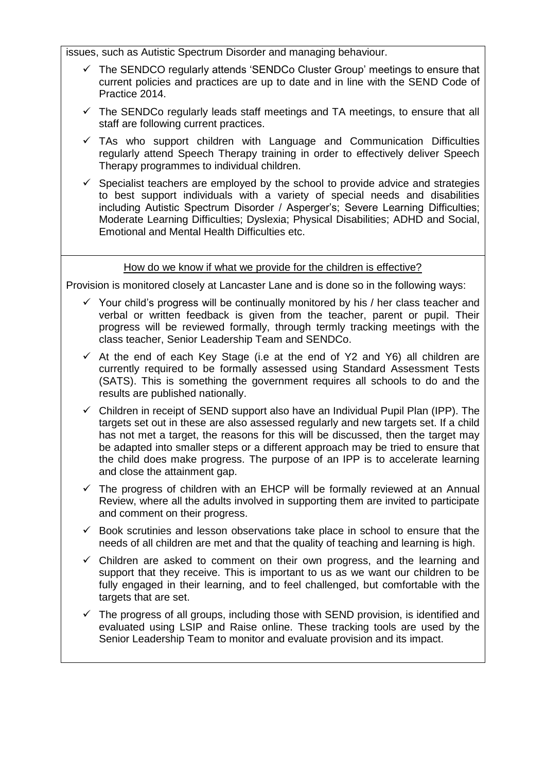issues, such as Autistic Spectrum Disorder and managing behaviour.

- $\checkmark$  The SENDCO regularly attends 'SENDCo Cluster Group' meetings to ensure that current policies and practices are up to date and in line with the SEND Code of Practice 2014.
- $\checkmark$  The SENDCo regularly leads staff meetings and TA meetings, to ensure that all staff are following current practices.
- $\checkmark$  TAs who support children with Language and Communication Difficulties regularly attend Speech Therapy training in order to effectively deliver Speech Therapy programmes to individual children.
- Specialist teachers are employed by the school to provide advice and strategies to best support individuals with a variety of special needs and disabilities including Autistic Spectrum Disorder / Asperger's; Severe Learning Difficulties; Moderate Learning Difficulties; Dyslexia; Physical Disabilities; ADHD and Social, Emotional and Mental Health Difficulties etc.

#### How do we know if what we provide for the children is effective?

Provision is monitored closely at Lancaster Lane and is done so in the following ways:

- $\checkmark$  Your child's progress will be continually monitored by his / her class teacher and verbal or written feedback is given from the teacher, parent or pupil. Their progress will be reviewed formally, through termly tracking meetings with the class teacher, Senior Leadership Team and SENDCo.
- $\checkmark$  At the end of each Key Stage (i.e at the end of Y2 and Y6) all children are currently required to be formally assessed using Standard Assessment Tests (SATS). This is something the government requires all schools to do and the results are published nationally.
- $\checkmark$  Children in receipt of SEND support also have an Individual Pupil Plan (IPP). The targets set out in these are also assessed regularly and new targets set. If a child has not met a target, the reasons for this will be discussed, then the target may be adapted into smaller steps or a different approach may be tried to ensure that the child does make progress. The purpose of an IPP is to accelerate learning and close the attainment gap.
- The progress of children with an EHCP will be formally reviewed at an Annual Review, where all the adults involved in supporting them are invited to participate and comment on their progress.
- $\checkmark$  Book scrutinies and lesson observations take place in school to ensure that the needs of all children are met and that the quality of teaching and learning is high.
- $\checkmark$  Children are asked to comment on their own progress, and the learning and support that they receive. This is important to us as we want our children to be fully engaged in their learning, and to feel challenged, but comfortable with the targets that are set.
- The progress of all groups, including those with SEND provision, is identified and evaluated using LSIP and Raise online. These tracking tools are used by the Senior Leadership Team to monitor and evaluate provision and its impact.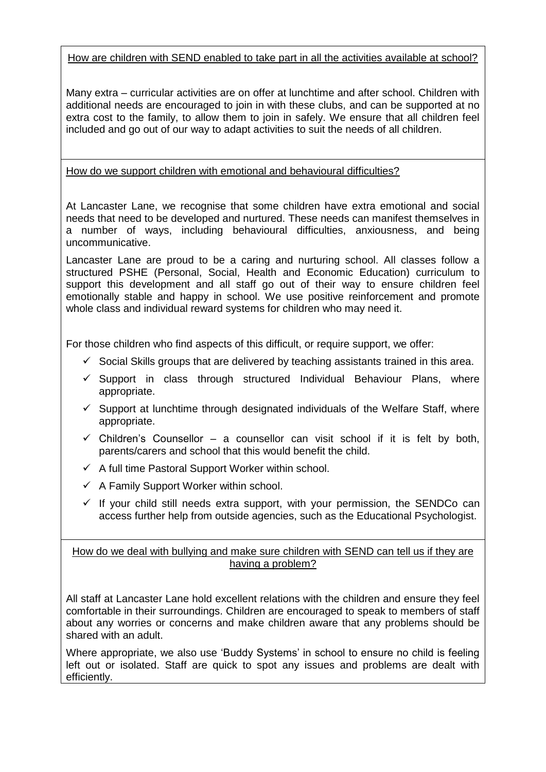# How are children with SEND enabled to take part in all the activities available at school?

Many extra – curricular activities are on offer at lunchtime and after school. Children with additional needs are encouraged to join in with these clubs, and can be supported at no extra cost to the family, to allow them to join in safely. We ensure that all children feel included and go out of our way to adapt activities to suit the needs of all children.

# How do we support children with emotional and behavioural difficulties?

At Lancaster Lane, we recognise that some children have extra emotional and social needs that need to be developed and nurtured. These needs can manifest themselves in a number of ways, including behavioural difficulties, anxiousness, and being uncommunicative.

Lancaster Lane are proud to be a caring and nurturing school. All classes follow a structured PSHE (Personal, Social, Health and Economic Education) curriculum to support this development and all staff go out of their way to ensure children feel emotionally stable and happy in school. We use positive reinforcement and promote whole class and individual reward systems for children who may need it.

For those children who find aspects of this difficult, or require support, we offer:

- $\checkmark$  Social Skills groups that are delivered by teaching assistants trained in this area.
- $\checkmark$  Support in class through structured Individual Behaviour Plans, where appropriate.
- $\checkmark$  Support at lunchtime through designated individuals of the Welfare Staff, where appropriate.
- $\checkmark$  Children's Counsellor a counsellor can visit school if it is felt by both, parents/carers and school that this would benefit the child.
- $\checkmark$  A full time Pastoral Support Worker within school.
- $\checkmark$  A Family Support Worker within school.
- $\checkmark$  If your child still needs extra support, with your permission, the SENDCo can access further help from outside agencies, such as the Educational Psychologist.

## How do we deal with bullying and make sure children with SEND can tell us if they are having a problem?

All staff at Lancaster Lane hold excellent relations with the children and ensure they feel comfortable in their surroundings. Children are encouraged to speak to members of staff about any worries or concerns and make children aware that any problems should be shared with an adult.

Where appropriate, we also use 'Buddy Systems' in school to ensure no child is feeling left out or isolated. Staff are quick to spot any issues and problems are dealt with efficiently.